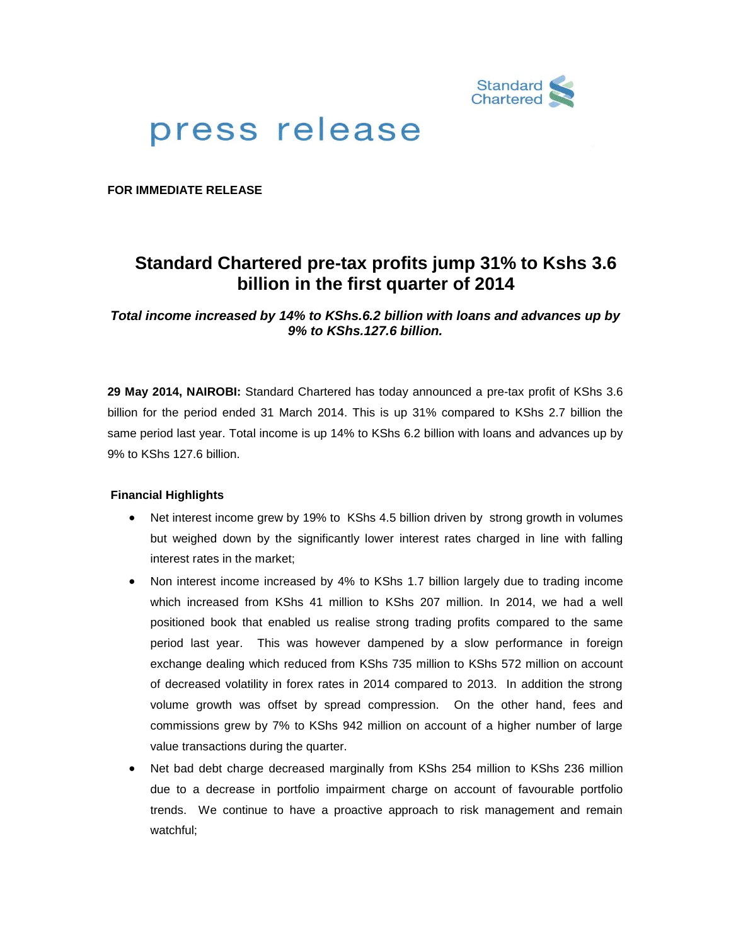

# press release

**FOR IMMEDIATE RELEASE**

## **Standard Chartered pre-tax profits jump 31% to Kshs 3.6 billion in the first quarter of 2014**

*Total income increased by 14% to KShs.6.2 billion with loans and advances up by 9% to KShs.127.6 billion.*

**29 May 2014, NAIROBI:** Standard Chartered has today announced a pre-tax profit of KShs 3.6 billion for the period ended 31 March 2014. This is up 31% compared to KShs 2.7 billion the same period last year. Total income is up 14% to KShs 6.2 billion with loans and advances up by 9% to KShs 127.6 billion.

### **Financial Highlights**

- Net interest income grew by 19% to KShs 4.5 billion driven by strong growth in volumes but weighed down by the significantly lower interest rates charged in line with falling interest rates in the market;
- Non interest income increased by 4% to KShs 1.7 billion largely due to trading income which increased from KShs 41 million to KShs 207 million. In 2014, we had a well positioned book that enabled us realise strong trading profits compared to the same period last year. This was however dampened by a slow performance in foreign exchange dealing which reduced from KShs 735 million to KShs 572 million on account of decreased volatility in forex rates in 2014 compared to 2013. In addition the strong volume growth was offset by spread compression. On the other hand, fees and commissions grew by 7% to KShs 942 million on account of a higher number of large value transactions during the quarter.
- Net bad debt charge decreased marginally from KShs 254 million to KShs 236 million due to a decrease in portfolio impairment charge on account of favourable portfolio trends. We continue to have a proactive approach to risk management and remain watchful;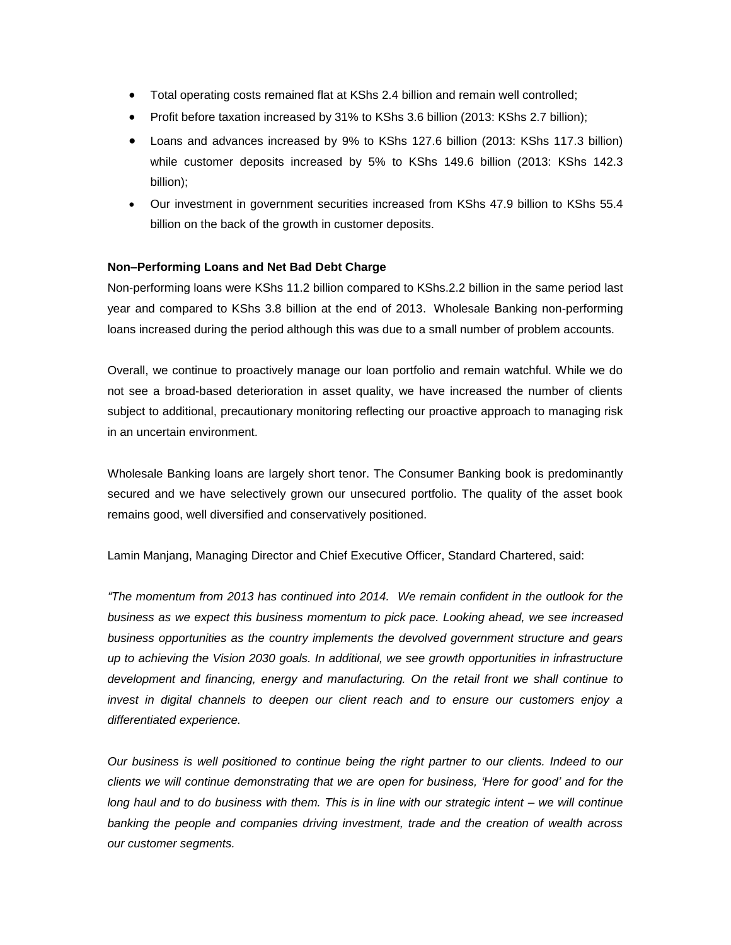- Total operating costs remained flat at KShs 2.4 billion and remain well controlled;
- Profit before taxation increased by 31% to KShs 3.6 billion (2013: KShs 2.7 billion);
- Loans and advances increased by 9% to KShs 127.6 billion (2013: KShs 117.3 billion) while customer deposits increased by 5% to KShs 149.6 billion (2013: KShs 142.3 billion);
- Our investment in government securities increased from KShs 47.9 billion to KShs 55.4 billion on the back of the growth in customer deposits.

### **Non–Performing Loans and Net Bad Debt Charge**

Non-performing loans were KShs 11.2 billion compared to KShs.2.2 billion in the same period last year and compared to KShs 3.8 billion at the end of 2013. Wholesale Banking non-performing loans increased during the period although this was due to a small number of problem accounts.

Overall, we continue to proactively manage our loan portfolio and remain watchful. While we do not see a broad-based deterioration in asset quality, we have increased the number of clients subject to additional, precautionary monitoring reflecting our proactive approach to managing risk in an uncertain environment.

Wholesale Banking loans are largely short tenor. The Consumer Banking book is predominantly secured and we have selectively grown our unsecured portfolio. The quality of the asset book remains good, well diversified and conservatively positioned.

Lamin Manjang, Managing Director and Chief Executive Officer, Standard Chartered, said:

*"The momentum from 2013 has continued into 2014. We remain confident in the outlook for the business as we expect this business momentum to pick pace. Looking ahead, we see increased business opportunities as the country implements the devolved government structure and gears up to achieving the Vision 2030 goals. In additional, we see growth opportunities in infrastructure development and financing, energy and manufacturing. On the retail front we shall continue to invest in digital channels to deepen our client reach and to ensure our customers enjoy a differentiated experience.* 

*Our business is well positioned to continue being the right partner to our clients. Indeed to our clients we will continue demonstrating that we are open for business, 'Here for good' and for the long haul and to do business with them. This is in line with our strategic intent – we will continue banking the people and companies driving investment, trade and the creation of wealth across our customer segments.*